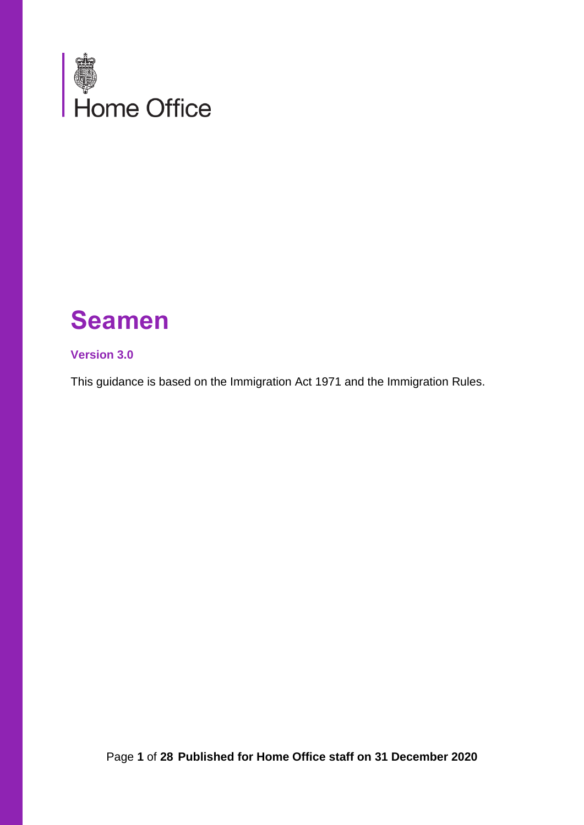

# **Seamen**

#### **Version 3.0**

This guidance is based on the Immigration Act 1971 and the Immigration Rules.

Page **1** of **28 Published for Home Office staff on 31 December 2020**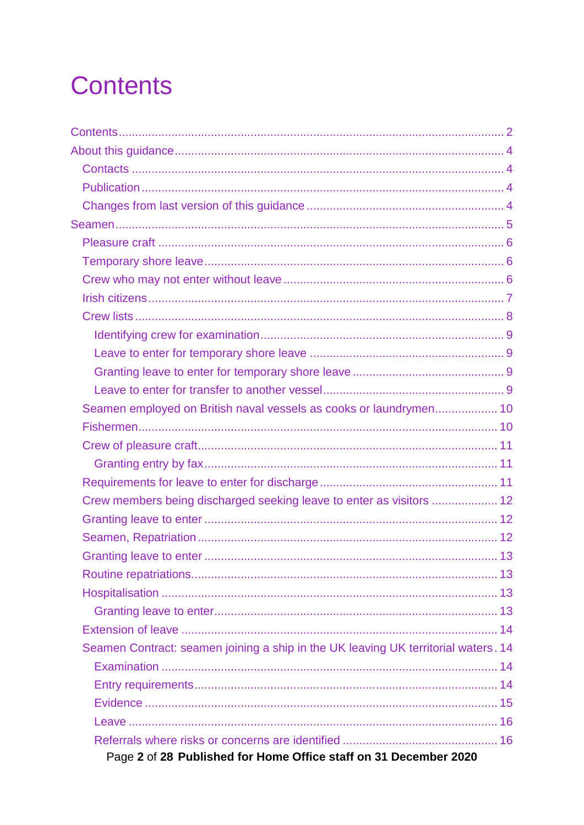# <span id="page-1-0"></span>**Contents**

| Seamen employed on British naval vessels as cooks or laundrymen 10                 |  |
|------------------------------------------------------------------------------------|--|
|                                                                                    |  |
|                                                                                    |  |
|                                                                                    |  |
|                                                                                    |  |
| Crew members being discharged seeking leave to enter as visitors  12               |  |
|                                                                                    |  |
|                                                                                    |  |
|                                                                                    |  |
|                                                                                    |  |
|                                                                                    |  |
|                                                                                    |  |
|                                                                                    |  |
| Seamen Contract: seamen joining a ship in the UK leaving UK territorial waters. 14 |  |
|                                                                                    |  |
|                                                                                    |  |
|                                                                                    |  |
|                                                                                    |  |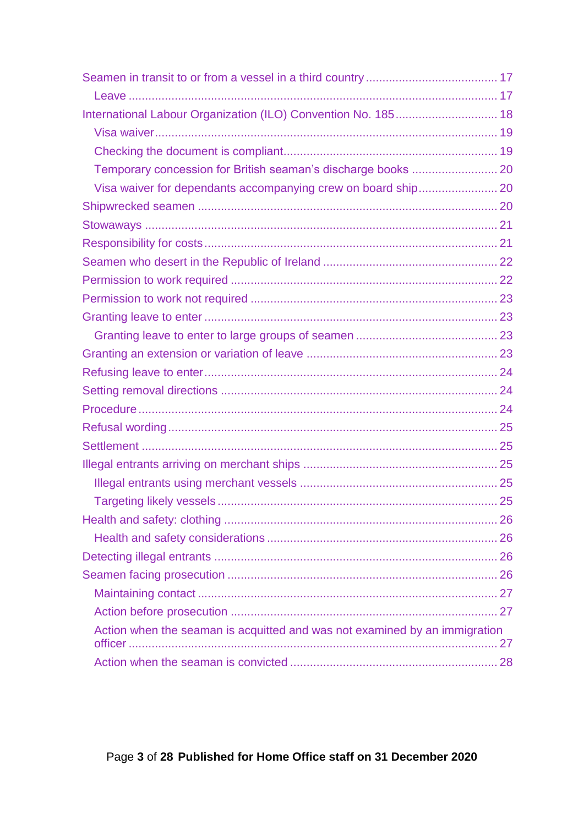| International Labour Organization (ILO) Convention No. 185 18              |  |
|----------------------------------------------------------------------------|--|
|                                                                            |  |
|                                                                            |  |
|                                                                            |  |
|                                                                            |  |
|                                                                            |  |
|                                                                            |  |
|                                                                            |  |
|                                                                            |  |
|                                                                            |  |
|                                                                            |  |
|                                                                            |  |
|                                                                            |  |
|                                                                            |  |
|                                                                            |  |
|                                                                            |  |
|                                                                            |  |
|                                                                            |  |
|                                                                            |  |
|                                                                            |  |
|                                                                            |  |
|                                                                            |  |
|                                                                            |  |
|                                                                            |  |
|                                                                            |  |
|                                                                            |  |
|                                                                            |  |
|                                                                            |  |
| Action when the seaman is acquitted and was not examined by an immigration |  |
|                                                                            |  |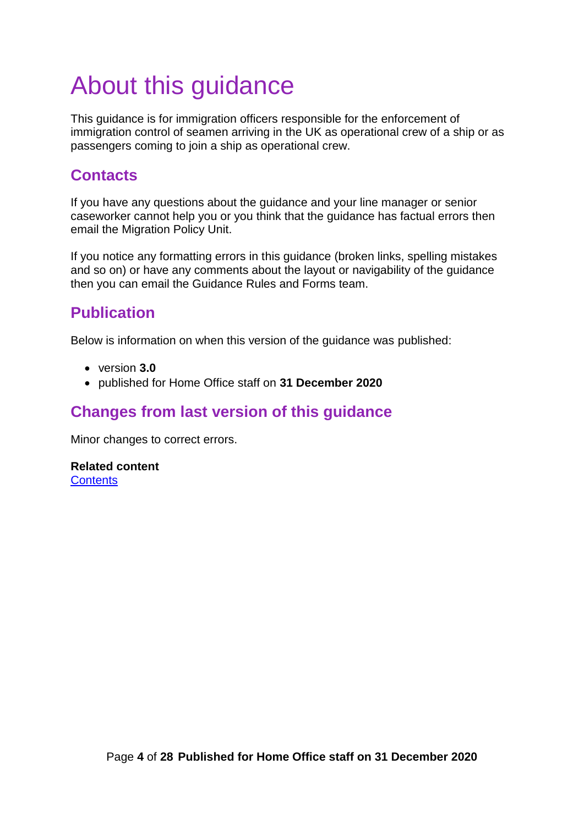# <span id="page-3-0"></span>About this guidance

This guidance is for immigration officers responsible for the enforcement of immigration control of seamen arriving in the UK as operational crew of a ship or as passengers coming to join a ship as operational crew.

# <span id="page-3-1"></span>**Contacts**

If you have any questions about the guidance and your line manager or senior caseworker cannot help you or you think that the guidance has factual errors then email the Migration Policy Unit.

If you notice any formatting errors in this guidance (broken links, spelling mistakes and so on) or have any comments about the layout or navigability of the guidance then you can email the Guidance Rules and Forms team.

# <span id="page-3-2"></span>**Publication**

Below is information on when this version of the guidance was published:

- version **3.0**
- published for Home Office staff on **31 December 2020**

# <span id="page-3-3"></span>**Changes from last version of this guidance**

Minor changes to correct errors.

**Related content [Contents](#page-1-0)**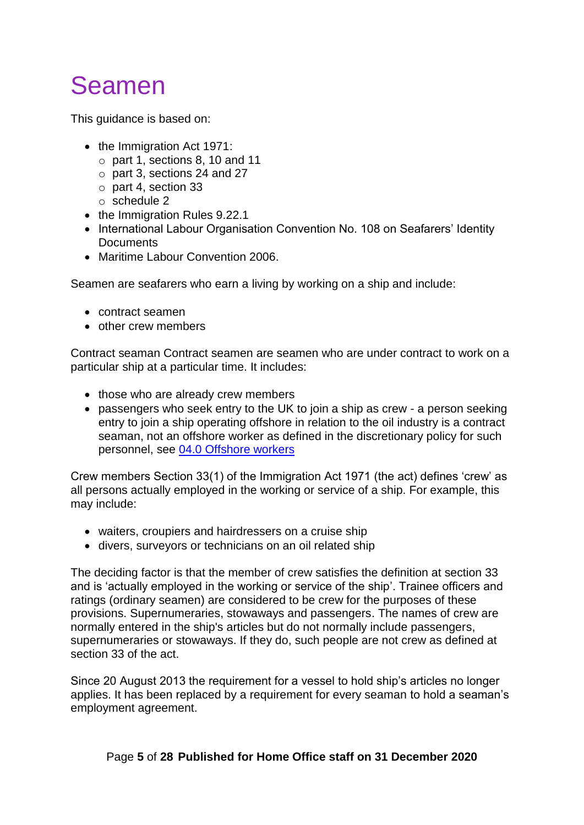# <span id="page-4-0"></span>Seamen

This guidance is based on:

- the Immigration Act 1971:
	- $\circ$  part 1, sections 8, 10 and 11
	- o part 3, sections 24 and 27
	- o part 4, section 33
	- o schedule 2
- the Immigration Rules 9.22.1
- International Labour Organisation Convention No. 108 on Seafarers' Identity **Documents**
- Maritime Labour Convention 2006.

Seamen are seafarers who earn a living by working on a ship and include:

- contract seamen
- other crew members

Contract seaman Contract seamen are seamen who are under contract to work on a particular ship at a particular time. It includes:

- those who are already crew members
- passengers who seek entry to the UK to join a ship as crew a person seeking entry to join a ship operating offshore in relation to the oil industry is a contract seaman, not an offshore worker as defined in the discretionary policy for such personnel, see [04.0 Offshore workers](https://www.gov.uk/government/publications/chapter-17-section-4-off-shore-workers)

Crew members Section 33(1) of the Immigration Act 1971 (the act) defines 'crew' as all persons actually employed in the working or service of a ship. For example, this may include:

- waiters, croupiers and hairdressers on a cruise ship
- divers, surveyors or technicians on an oil related ship

The deciding factor is that the member of crew satisfies the definition at section 33 and is 'actually employed in the working or service of the ship'. Trainee officers and ratings (ordinary seamen) are considered to be crew for the purposes of these provisions. Supernumeraries, stowaways and passengers. The names of crew are normally entered in the ship's articles but do not normally include passengers, supernumeraries or stowaways. If they do, such people are not crew as defined at section 33 of the act.

Since 20 August 2013 the requirement for a vessel to hold ship's articles no longer applies. It has been replaced by a requirement for every seaman to hold a seaman's employment agreement.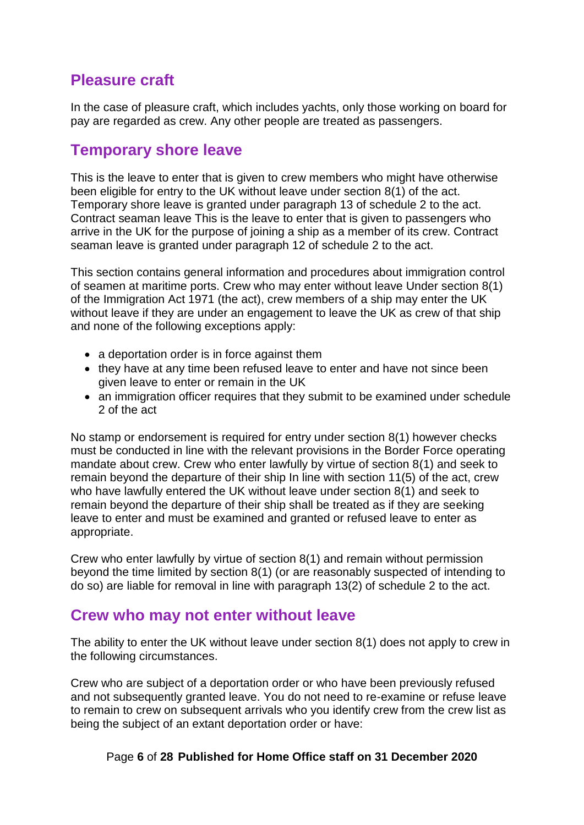# <span id="page-5-0"></span>**Pleasure craft**

In the case of pleasure craft, which includes yachts, only those working on board for pay are regarded as crew. Any other people are treated as passengers.

#### <span id="page-5-1"></span>**Temporary shore leave**

This is the leave to enter that is given to crew members who might have otherwise been eligible for entry to the UK without leave under section 8(1) of the act. Temporary shore leave is granted under paragraph 13 of schedule 2 to the act. Contract seaman leave This is the leave to enter that is given to passengers who arrive in the UK for the purpose of joining a ship as a member of its crew. Contract seaman leave is granted under paragraph 12 of schedule 2 to the act.

This section contains general information and procedures about immigration control of seamen at maritime ports. Crew who may enter without leave Under section 8(1) of the Immigration Act 1971 (the act), crew members of a ship may enter the UK without leave if they are under an engagement to leave the UK as crew of that ship and none of the following exceptions apply:

- a deportation order is in force against them
- they have at any time been refused leave to enter and have not since been given leave to enter or remain in the UK
- an immigration officer requires that they submit to be examined under schedule 2 of the act

No stamp or endorsement is required for entry under section 8(1) however checks must be conducted in line with the relevant provisions in the Border Force operating mandate about crew. Crew who enter lawfully by virtue of section 8(1) and seek to remain beyond the departure of their ship In line with section 11(5) of the act, crew who have lawfully entered the UK without leave under section 8(1) and seek to remain beyond the departure of their ship shall be treated as if they are seeking leave to enter and must be examined and granted or refused leave to enter as appropriate.

Crew who enter lawfully by virtue of section 8(1) and remain without permission beyond the time limited by section 8(1) (or are reasonably suspected of intending to do so) are liable for removal in line with paragraph 13(2) of schedule 2 to the act.

#### <span id="page-5-2"></span>**Crew who may not enter without leave**

The ability to enter the UK without leave under section 8(1) does not apply to crew in the following circumstances.

Crew who are subject of a deportation order or who have been previously refused and not subsequently granted leave. You do not need to re-examine or refuse leave to remain to crew on subsequent arrivals who you identify crew from the crew list as being the subject of an extant deportation order or have:

#### Page **6** of **28 Published for Home Office staff on 31 December 2020**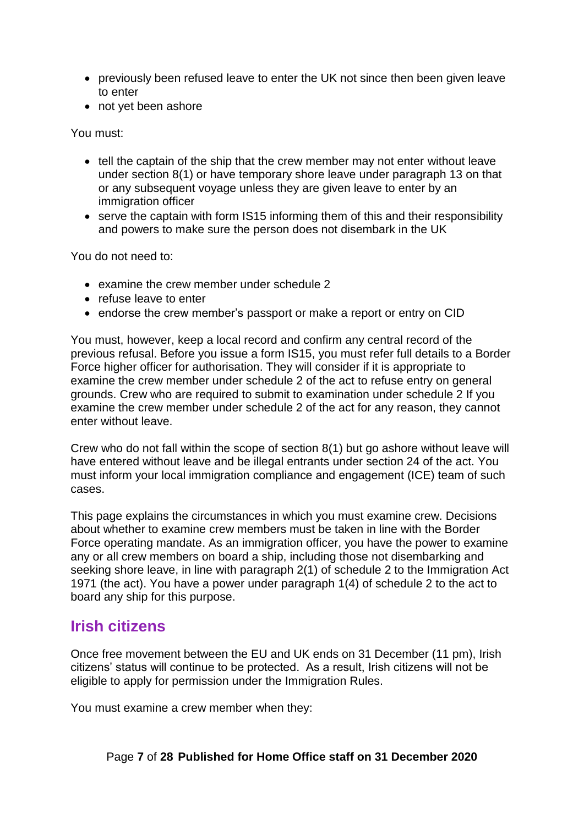- previously been refused leave to enter the UK not since then been given leave to enter
- not yet been ashore

You must:

- tell the captain of the ship that the crew member may not enter without leave under section 8(1) or have temporary shore leave under paragraph 13 on that or any subsequent voyage unless they are given leave to enter by an immigration officer
- serve the captain with form IS15 informing them of this and their responsibility and powers to make sure the person does not disembark in the UK

You do not need to:

- examine the crew member under schedule 2
- refuse leave to enter
- endorse the crew member's passport or make a report or entry on CID

You must, however, keep a local record and confirm any central record of the previous refusal. Before you issue a form IS15, you must refer full details to a Border Force higher officer for authorisation. They will consider if it is appropriate to examine the crew member under schedule 2 of the act to refuse entry on general grounds. Crew who are required to submit to examination under schedule 2 If you examine the crew member under schedule 2 of the act for any reason, they cannot enter without leave.

Crew who do not fall within the scope of section 8(1) but go ashore without leave will have entered without leave and be illegal entrants under section 24 of the act. You must inform your local immigration compliance and engagement (ICE) team of such cases.

This page explains the circumstances in which you must examine crew. Decisions about whether to examine crew members must be taken in line with the Border Force operating mandate. As an immigration officer, you have the power to examine any or all crew members on board a ship, including those not disembarking and seeking shore leave, in line with paragraph 2(1) of schedule 2 to the Immigration Act 1971 (the act). You have a power under paragraph 1(4) of schedule 2 to the act to board any ship for this purpose.

## <span id="page-6-0"></span>**Irish citizens**

Once free movement between the EU and UK ends on 31 December (11 pm), Irish citizens' status will continue to be protected. As a result, Irish citizens will not be eligible to apply for permission under the Immigration Rules.

You must examine a crew member when they: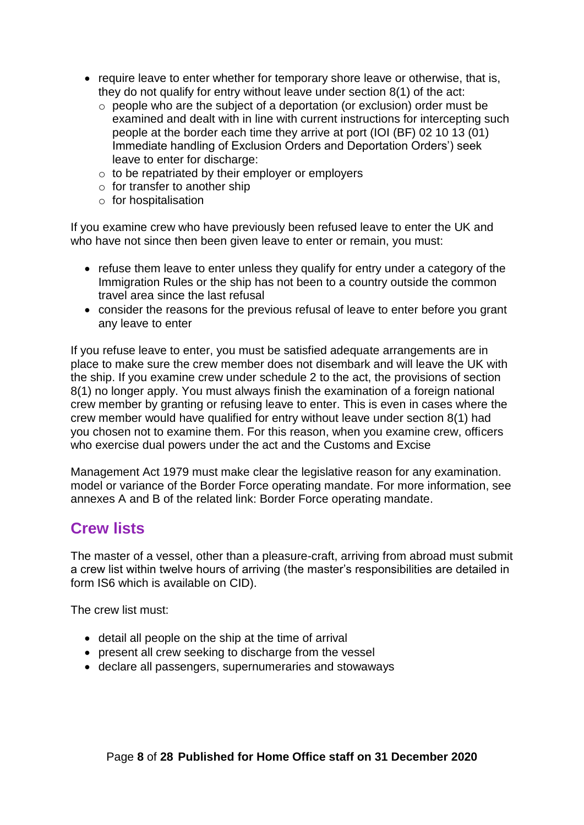- require leave to enter whether for temporary shore leave or otherwise, that is, they do not qualify for entry without leave under section 8(1) of the act:
	- o people who are the subject of a deportation (or exclusion) order must be examined and dealt with in line with current instructions for intercepting such people at the border each time they arrive at port (IOI (BF) 02 10 13 (01) Immediate handling of Exclusion Orders and Deportation Orders') seek leave to enter for discharge:
	- o to be repatriated by their employer or employers
	- $\circ$  for transfer to another ship
	- $\circ$  for hospitalisation

If you examine crew who have previously been refused leave to enter the UK and who have not since then been given leave to enter or remain, you must:

- refuse them leave to enter unless they qualify for entry under a category of the Immigration Rules or the ship has not been to a country outside the common travel area since the last refusal
- consider the reasons for the previous refusal of leave to enter before you grant any leave to enter

If you refuse leave to enter, you must be satisfied adequate arrangements are in place to make sure the crew member does not disembark and will leave the UK with the ship. If you examine crew under schedule 2 to the act, the provisions of section 8(1) no longer apply. You must always finish the examination of a foreign national crew member by granting or refusing leave to enter. This is even in cases where the crew member would have qualified for entry without leave under section 8(1) had you chosen not to examine them. For this reason, when you examine crew, officers who exercise dual powers under the act and the Customs and Excise

Management Act 1979 must make clear the legislative reason for any examination. model or variance of the Border Force operating mandate. For more information, see annexes A and B of the related link: Border Force operating mandate.

#### <span id="page-7-0"></span>**Crew lists**

The master of a vessel, other than a pleasure-craft, arriving from abroad must submit a crew list within twelve hours of arriving (the master's responsibilities are detailed in form IS6 which is available on CID).

The crew list must:

- detail all people on the ship at the time of arrival
- present all crew seeking to discharge from the vessel
- declare all passengers, supernumeraries and stowaways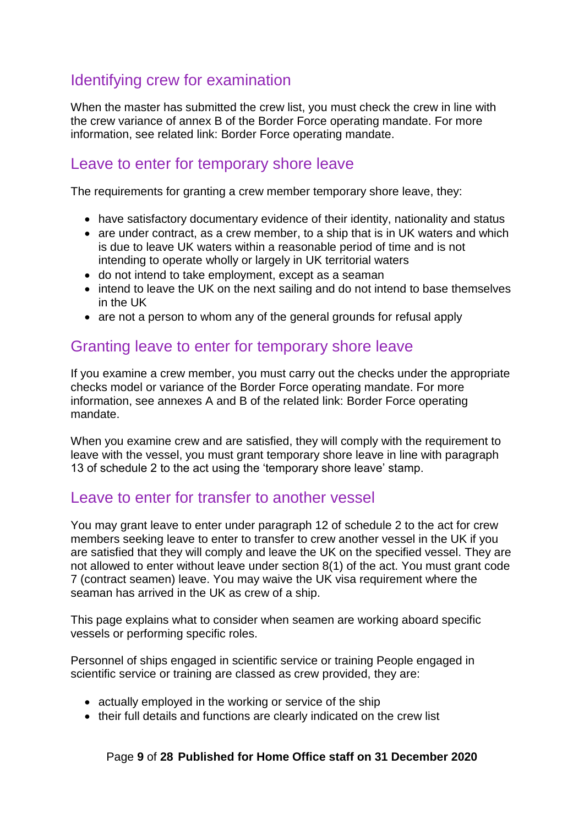# <span id="page-8-0"></span>Identifying crew for examination

When the master has submitted the crew list, you must check the crew in line with the crew variance of annex B of the Border Force operating mandate. For more information, see related link: Border Force operating mandate.

#### <span id="page-8-1"></span>Leave to enter for temporary shore leave

The requirements for granting a crew member temporary shore leave, they:

- have satisfactory documentary evidence of their identity, nationality and status
- are under contract, as a crew member, to a ship that is in UK waters and which is due to leave UK waters within a reasonable period of time and is not intending to operate wholly or largely in UK territorial waters
- do not intend to take employment, except as a seaman
- intend to leave the UK on the next sailing and do not intend to base themselves in the UK
- are not a person to whom any of the general grounds for refusal apply

#### <span id="page-8-2"></span>Granting leave to enter for temporary shore leave

If you examine a crew member, you must carry out the checks under the appropriate checks model or variance of the Border Force operating mandate. For more information, see annexes A and B of the related link: Border Force operating mandate.

When you examine crew and are satisfied, they will comply with the requirement to leave with the vessel, you must grant temporary shore leave in line with paragraph 13 of schedule 2 to the act using the 'temporary shore leave' stamp.

#### <span id="page-8-3"></span>Leave to enter for transfer to another vessel

You may grant leave to enter under paragraph 12 of schedule 2 to the act for crew members seeking leave to enter to transfer to crew another vessel in the UK if you are satisfied that they will comply and leave the UK on the specified vessel. They are not allowed to enter without leave under section 8(1) of the act. You must grant code 7 (contract seamen) leave. You may waive the UK visa requirement where the seaman has arrived in the UK as crew of a ship.

This page explains what to consider when seamen are working aboard specific vessels or performing specific roles.

Personnel of ships engaged in scientific service or training People engaged in scientific service or training are classed as crew provided, they are:

- actually employed in the working or service of the ship
- their full details and functions are clearly indicated on the crew list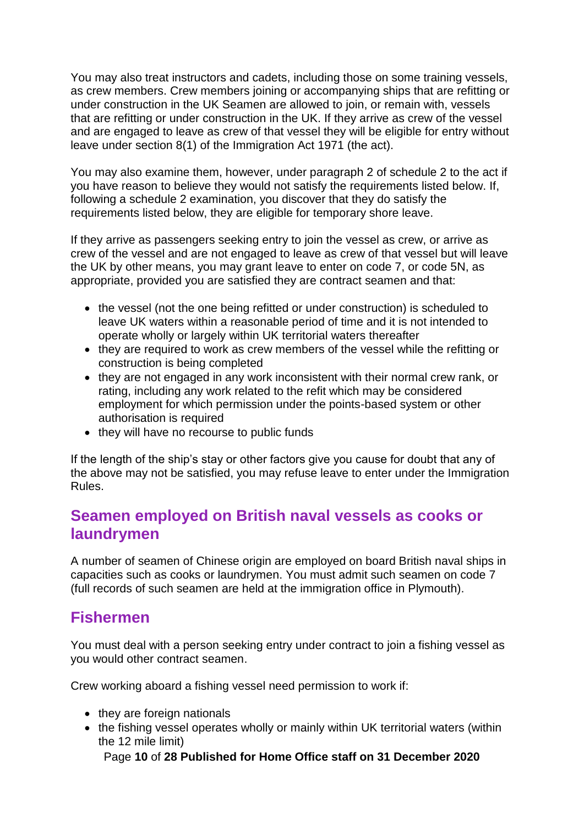You may also treat instructors and cadets, including those on some training vessels, as crew members. Crew members joining or accompanying ships that are refitting or under construction in the UK Seamen are allowed to join, or remain with, vessels that are refitting or under construction in the UK. If they arrive as crew of the vessel and are engaged to leave as crew of that vessel they will be eligible for entry without leave under section 8(1) of the Immigration Act 1971 (the act).

You may also examine them, however, under paragraph 2 of schedule 2 to the act if you have reason to believe they would not satisfy the requirements listed below. If, following a schedule 2 examination, you discover that they do satisfy the requirements listed below, they are eligible for temporary shore leave.

If they arrive as passengers seeking entry to join the vessel as crew, or arrive as crew of the vessel and are not engaged to leave as crew of that vessel but will leave the UK by other means, you may grant leave to enter on code 7, or code 5N, as appropriate, provided you are satisfied they are contract seamen and that:

- the vessel (not the one being refitted or under construction) is scheduled to leave UK waters within a reasonable period of time and it is not intended to operate wholly or largely within UK territorial waters thereafter
- they are required to work as crew members of the vessel while the refitting or construction is being completed
- they are not engaged in any work inconsistent with their normal crew rank, or rating, including any work related to the refit which may be considered employment for which permission under the points-based system or other authorisation is required
- they will have no recourse to public funds

If the length of the ship's stay or other factors give you cause for doubt that any of the above may not be satisfied, you may refuse leave to enter under the Immigration Rules.

# <span id="page-9-0"></span>**Seamen employed on British naval vessels as cooks or laundrymen**

A number of seamen of Chinese origin are employed on board British naval ships in capacities such as cooks or laundrymen. You must admit such seamen on code 7 (full records of such seamen are held at the immigration office in Plymouth).

## <span id="page-9-1"></span>**Fishermen**

You must deal with a person seeking entry under contract to join a fishing vessel as you would other contract seamen.

Crew working aboard a fishing vessel need permission to work if:

- they are foreign nationals
- the fishing vessel operates wholly or mainly within UK territorial waters (within the 12 mile limit)

Page **10** of **28 Published for Home Office staff on 31 December 2020**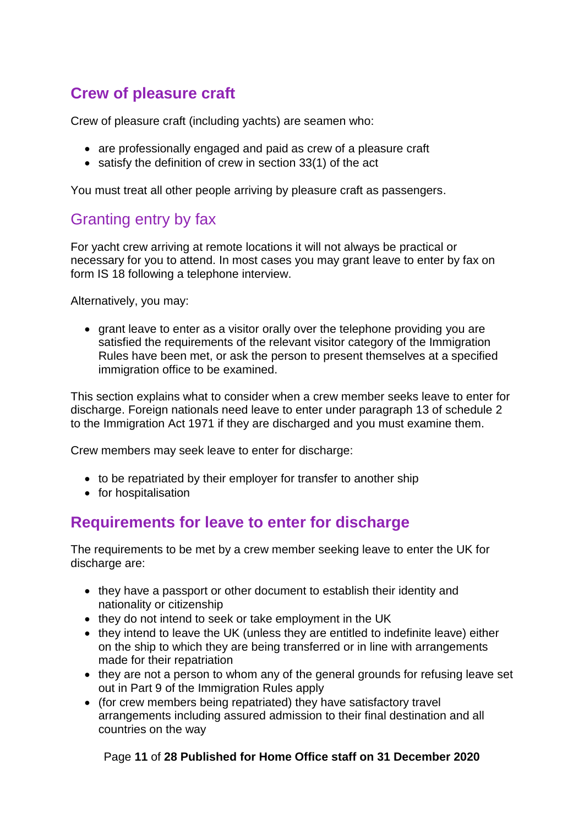# <span id="page-10-0"></span>**Crew of pleasure craft**

Crew of pleasure craft (including yachts) are seamen who:

- are professionally engaged and paid as crew of a pleasure craft
- satisfy the definition of crew in section 33(1) of the act

You must treat all other people arriving by pleasure craft as passengers.

# <span id="page-10-1"></span>Granting entry by fax

For yacht crew arriving at remote locations it will not always be practical or necessary for you to attend. In most cases you may grant leave to enter by fax on form IS 18 following a telephone interview.

Alternatively, you may:

• grant leave to enter as a visitor orally over the telephone providing you are satisfied the requirements of the relevant visitor category of the Immigration Rules have been met, or ask the person to present themselves at a specified immigration office to be examined.

This section explains what to consider when a crew member seeks leave to enter for discharge. Foreign nationals need leave to enter under paragraph 13 of schedule 2 to the Immigration Act 1971 if they are discharged and you must examine them.

Crew members may seek leave to enter for discharge:

- to be repatriated by their employer for transfer to another ship
- for hospitalisation

## <span id="page-10-2"></span>**Requirements for leave to enter for discharge**

The requirements to be met by a crew member seeking leave to enter the UK for discharge are:

- they have a passport or other document to establish their identity and nationality or citizenship
- they do not intend to seek or take employment in the UK
- they intend to leave the UK (unless they are entitled to indefinite leave) either on the ship to which they are being transferred or in line with arrangements made for their repatriation
- they are not a person to whom any of the general grounds for refusing leave set out in Part 9 of the Immigration Rules apply
- (for crew members being repatriated) they have satisfactory travel arrangements including assured admission to their final destination and all countries on the way

#### Page **11** of **28 Published for Home Office staff on 31 December 2020**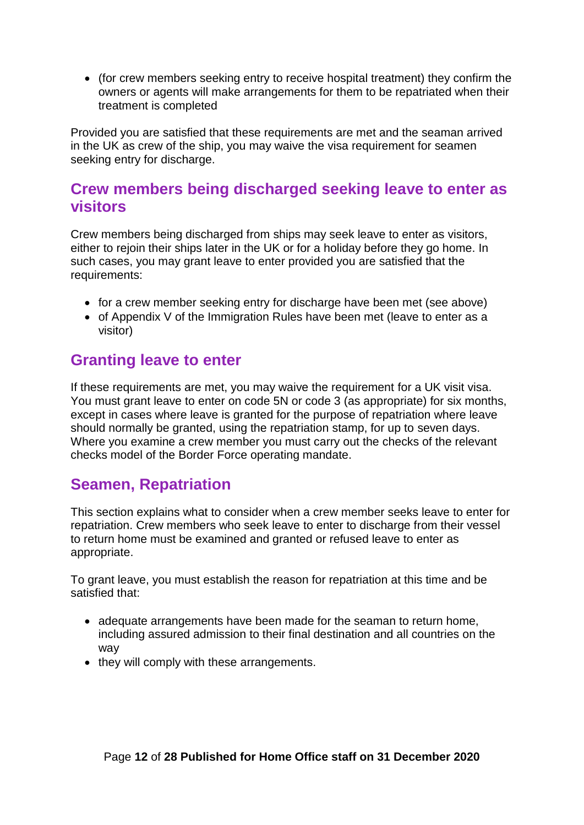• (for crew members seeking entry to receive hospital treatment) they confirm the owners or agents will make arrangements for them to be repatriated when their treatment is completed

Provided you are satisfied that these requirements are met and the seaman arrived in the UK as crew of the ship, you may waive the visa requirement for seamen seeking entry for discharge.

## <span id="page-11-0"></span>**Crew members being discharged seeking leave to enter as visitors**

Crew members being discharged from ships may seek leave to enter as visitors, either to rejoin their ships later in the UK or for a holiday before they go home. In such cases, you may grant leave to enter provided you are satisfied that the requirements:

- for a crew member seeking entry for discharge have been met (see above)
- of Appendix V of the Immigration Rules have been met (leave to enter as a visitor)

## <span id="page-11-1"></span>**Granting leave to enter**

If these requirements are met, you may waive the requirement for a UK visit visa. You must grant leave to enter on code 5N or code 3 (as appropriate) for six months, except in cases where leave is granted for the purpose of repatriation where leave should normally be granted, using the repatriation stamp, for up to seven days. Where you examine a crew member you must carry out the checks of the relevant checks model of the Border Force operating mandate.

# <span id="page-11-2"></span>**Seamen, Repatriation**

This section explains what to consider when a crew member seeks leave to enter for repatriation. Crew members who seek leave to enter to discharge from their vessel to return home must be examined and granted or refused leave to enter as appropriate.

To grant leave, you must establish the reason for repatriation at this time and be satisfied that:

- adequate arrangements have been made for the seaman to return home, including assured admission to their final destination and all countries on the way
- they will comply with these arrangements.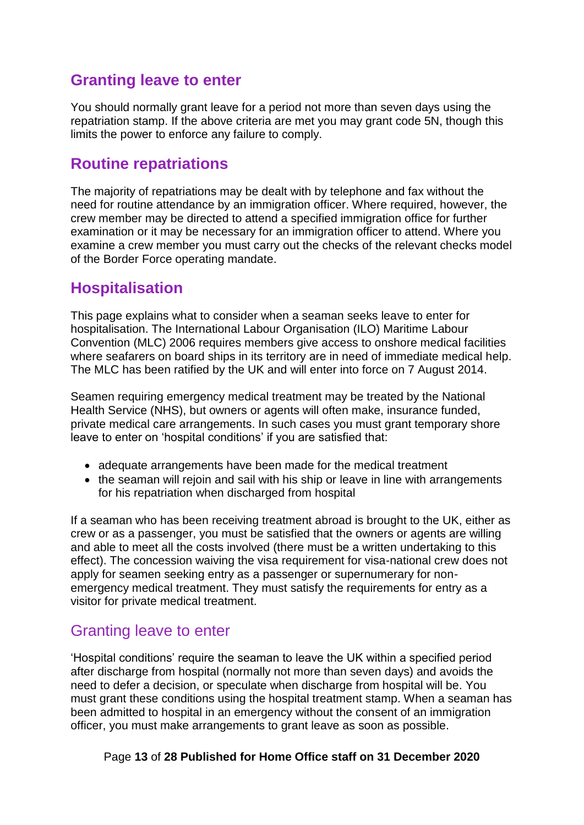# <span id="page-12-0"></span>**Granting leave to enter**

You should normally grant leave for a period not more than seven days using the repatriation stamp. If the above criteria are met you may grant code 5N, though this limits the power to enforce any failure to comply.

# <span id="page-12-1"></span>**Routine repatriations**

The majority of repatriations may be dealt with by telephone and fax without the need for routine attendance by an immigration officer. Where required, however, the crew member may be directed to attend a specified immigration office for further examination or it may be necessary for an immigration officer to attend. Where you examine a crew member you must carry out the checks of the relevant checks model of the Border Force operating mandate.

# <span id="page-12-2"></span>**Hospitalisation**

This page explains what to consider when a seaman seeks leave to enter for hospitalisation. The International Labour Organisation (ILO) Maritime Labour Convention (MLC) 2006 requires members give access to onshore medical facilities where seafarers on board ships in its territory are in need of immediate medical help. The MLC has been ratified by the UK and will enter into force on 7 August 2014.

Seamen requiring emergency medical treatment may be treated by the National Health Service (NHS), but owners or agents will often make, insurance funded, private medical care arrangements. In such cases you must grant temporary shore leave to enter on 'hospital conditions' if you are satisfied that:

- adequate arrangements have been made for the medical treatment
- the seaman will rejoin and sail with his ship or leave in line with arrangements for his repatriation when discharged from hospital

If a seaman who has been receiving treatment abroad is brought to the UK, either as crew or as a passenger, you must be satisfied that the owners or agents are willing and able to meet all the costs involved (there must be a written undertaking to this effect). The concession waiving the visa requirement for visa-national crew does not apply for seamen seeking entry as a passenger or supernumerary for nonemergency medical treatment. They must satisfy the requirements for entry as a visitor for private medical treatment.

## <span id="page-12-3"></span>Granting leave to enter

'Hospital conditions' require the seaman to leave the UK within a specified period after discharge from hospital (normally not more than seven days) and avoids the need to defer a decision, or speculate when discharge from hospital will be. You must grant these conditions using the hospital treatment stamp. When a seaman has been admitted to hospital in an emergency without the consent of an immigration officer, you must make arrangements to grant leave as soon as possible.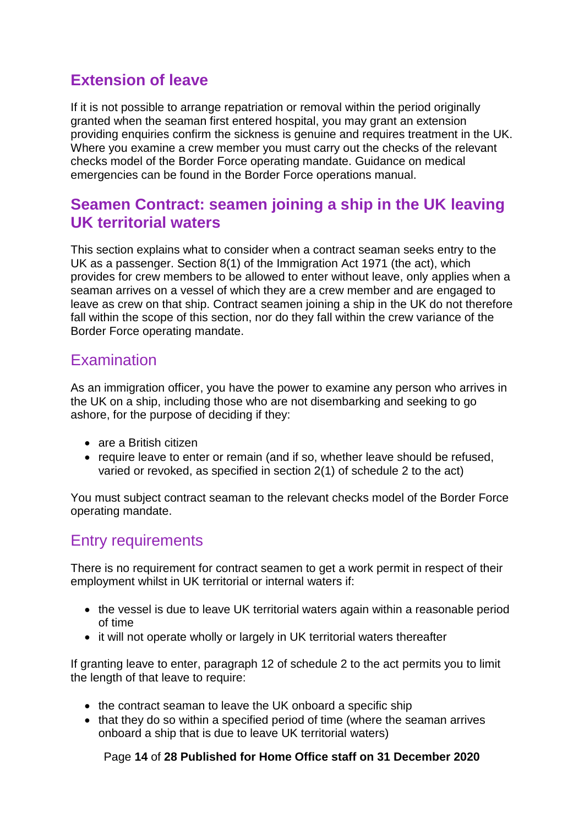# <span id="page-13-0"></span>**Extension of leave**

If it is not possible to arrange repatriation or removal within the period originally granted when the seaman first entered hospital, you may grant an extension providing enquiries confirm the sickness is genuine and requires treatment in the UK. Where you examine a crew member you must carry out the checks of the relevant checks model of the Border Force operating mandate. Guidance on medical emergencies can be found in the Border Force operations manual.

## <span id="page-13-1"></span>**Seamen Contract: seamen joining a ship in the UK leaving UK territorial waters**

This section explains what to consider when a contract seaman seeks entry to the UK as a passenger. Section 8(1) of the Immigration Act 1971 (the act), which provides for crew members to be allowed to enter without leave, only applies when a seaman arrives on a vessel of which they are a crew member and are engaged to leave as crew on that ship. Contract seamen joining a ship in the UK do not therefore fall within the scope of this section, nor do they fall within the crew variance of the Border Force operating mandate.

# <span id="page-13-2"></span>Examination

As an immigration officer, you have the power to examine any person who arrives in the UK on a ship, including those who are not disembarking and seeking to go ashore, for the purpose of deciding if they:

- are a British citizen
- require leave to enter or remain (and if so, whether leave should be refused, varied or revoked, as specified in section 2(1) of schedule 2 to the act)

You must subject contract seaman to the relevant checks model of the Border Force operating mandate.

# <span id="page-13-3"></span>Entry requirements

There is no requirement for contract seamen to get a work permit in respect of their employment whilst in UK territorial or internal waters if:

- the vessel is due to leave UK territorial waters again within a reasonable period of time
- it will not operate wholly or largely in UK territorial waters thereafter

If granting leave to enter, paragraph 12 of schedule 2 to the act permits you to limit the length of that leave to require:

- the contract seaman to leave the UK onboard a specific ship
- that they do so within a specified period of time (where the seaman arrives onboard a ship that is due to leave UK territorial waters)

Page **14** of **28 Published for Home Office staff on 31 December 2020**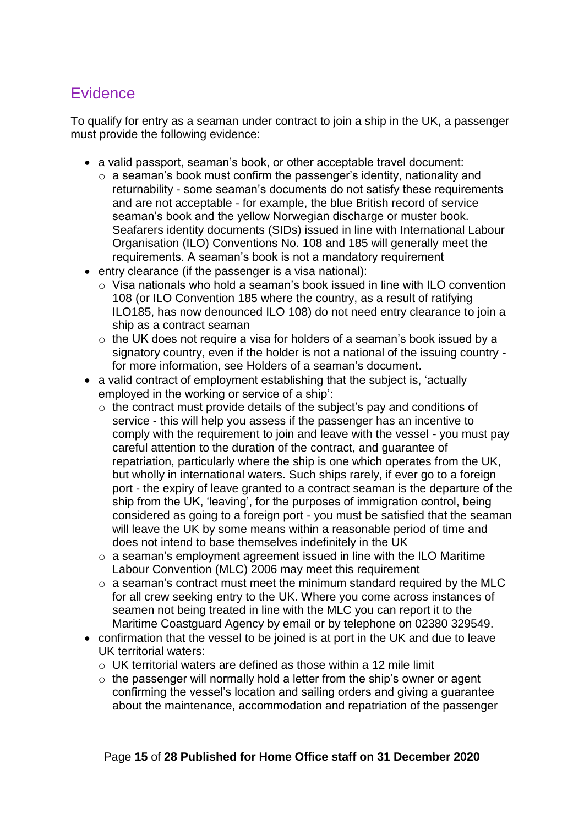# <span id="page-14-0"></span>**Evidence**

To qualify for entry as a seaman under contract to join a ship in the UK, a passenger must provide the following evidence:

- a valid passport, seaman's book, or other acceptable travel document:
	- o a seaman's book must confirm the passenger's identity, nationality and returnability - some seaman's documents do not satisfy these requirements and are not acceptable - for example, the blue British record of service seaman's book and the yellow Norwegian discharge or muster book. Seafarers identity documents (SIDs) issued in line with International Labour Organisation (ILO) Conventions No. 108 and 185 will generally meet the requirements. A seaman's book is not a mandatory requirement
- entry clearance (if the passenger is a visa national):
	- o Visa nationals who hold a seaman's book issued in line with ILO convention 108 (or ILO Convention 185 where the country, as a result of ratifying ILO185, has now denounced ILO 108) do not need entry clearance to join a ship as a contract seaman
	- o the UK does not require a visa for holders of a seaman's book issued by a signatory country, even if the holder is not a national of the issuing country for more information, see Holders of a seaman's document.
- a valid contract of employment establishing that the subject is, 'actually employed in the working or service of a ship':
	- o the contract must provide details of the subject's pay and conditions of service - this will help you assess if the passenger has an incentive to comply with the requirement to join and leave with the vessel - you must pay careful attention to the duration of the contract, and guarantee of repatriation, particularly where the ship is one which operates from the UK, but wholly in international waters. Such ships rarely, if ever go to a foreign port - the expiry of leave granted to a contract seaman is the departure of the ship from the UK, 'leaving', for the purposes of immigration control, being considered as going to a foreign port - you must be satisfied that the seaman will leave the UK by some means within a reasonable period of time and does not intend to base themselves indefinitely in the UK
	- o a seaman's employment agreement issued in line with the ILO Maritime Labour Convention (MLC) 2006 may meet this requirement
	- o a seaman's contract must meet the minimum standard required by the MLC for all crew seeking entry to the UK. Where you come across instances of seamen not being treated in line with the MLC you can report it to the Maritime Coastguard Agency by email or by telephone on 02380 329549.
- confirmation that the vessel to be joined is at port in the UK and due to leave UK territorial waters:
	- o UK territorial waters are defined as those within a 12 mile limit
	- $\circ$  the passenger will normally hold a letter from the ship's owner or agent confirming the vessel's location and sailing orders and giving a guarantee about the maintenance, accommodation and repatriation of the passenger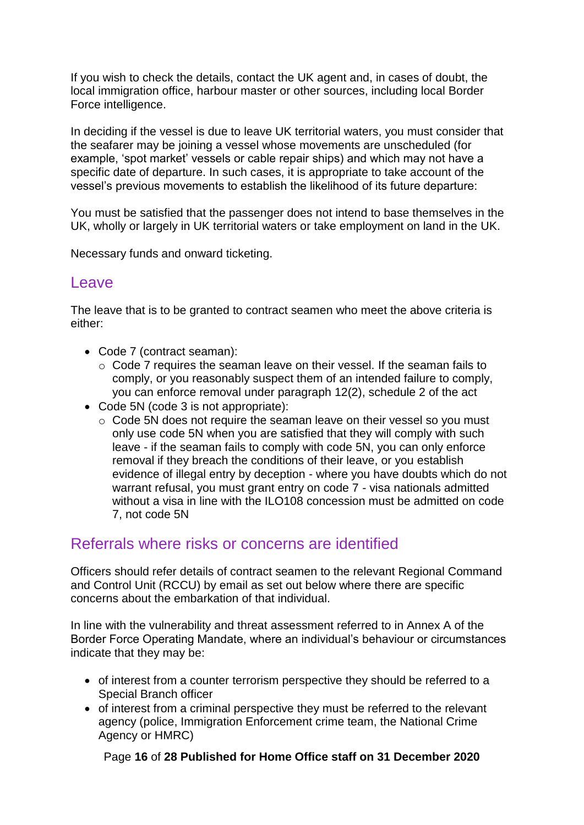If you wish to check the details, contact the UK agent and, in cases of doubt, the local immigration office, harbour master or other sources, including local Border Force intelligence.

In deciding if the vessel is due to leave UK territorial waters, you must consider that the seafarer may be joining a vessel whose movements are unscheduled (for example, 'spot market' vessels or cable repair ships) and which may not have a specific date of departure. In such cases, it is appropriate to take account of the vessel's previous movements to establish the likelihood of its future departure:

You must be satisfied that the passenger does not intend to base themselves in the UK, wholly or largely in UK territorial waters or take employment on land in the UK.

Necessary funds and onward ticketing.

#### <span id="page-15-0"></span>Leave

The leave that is to be granted to contract seamen who meet the above criteria is either:

- Code 7 (contract seaman):
	- o Code 7 requires the seaman leave on their vessel. If the seaman fails to comply, or you reasonably suspect them of an intended failure to comply, you can enforce removal under paragraph 12(2), schedule 2 of the act
- Code 5N (code 3 is not appropriate):
	- o Code 5N does not require the seaman leave on their vessel so you must only use code 5N when you are satisfied that they will comply with such leave - if the seaman fails to comply with code 5N, you can only enforce removal if they breach the conditions of their leave, or you establish evidence of illegal entry by deception - where you have doubts which do not warrant refusal, you must grant entry on code 7 - visa nationals admitted without a visa in line with the ILO108 concession must be admitted on code 7, not code 5N

#### <span id="page-15-1"></span>Referrals where risks or concerns are identified

Officers should refer details of contract seamen to the relevant Regional Command and Control Unit (RCCU) by email as set out below where there are specific concerns about the embarkation of that individual.

In line with the vulnerability and threat assessment referred to in Annex A of the Border Force Operating Mandate, where an individual's behaviour or circumstances indicate that they may be:

- of interest from a counter terrorism perspective they should be referred to a Special Branch officer
- of interest from a criminal perspective they must be referred to the relevant agency (police, Immigration Enforcement crime team, the National Crime Agency or HMRC)

Page **16** of **28 Published for Home Office staff on 31 December 2020**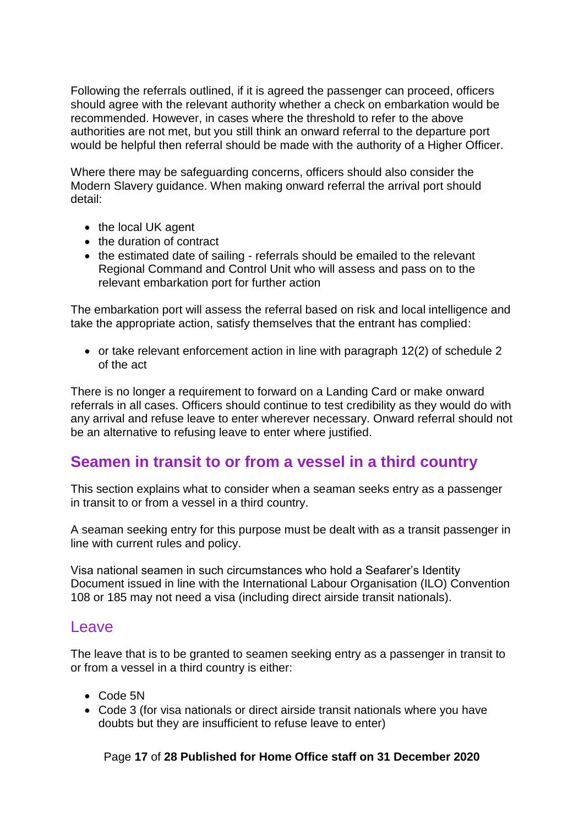Following the referrals outlined, if it is agreed the passenger can proceed, officers should agree with the relevant authority whether a check on embarkation would be recommended. However, in cases where the threshold to refer to the above authorities are not met, but you still think an onward referral to the departure port would be helpful then referral should be made with the authority of a Higher Officer.

Where there may be safeguarding concerns, officers should also consider the Modern Slavery guidance. When making onward referral the arrival port should detail:

- the local UK agent
- the duration of contract
- the estimated date of sailing referrals should be emailed to the relevant Regional Command and Control Unit who will assess and pass on to the relevant embarkation port for further action

The embarkation port will assess the referral based on risk and local intelligence and take the appropriate action, satisfy themselves that the entrant has complied:

• or take relevant enforcement action in line with paragraph 12(2) of schedule 2 of the act

There is no longer a requirement to forward on a Landing Card or make onward referrals in all cases. Officers should continue to test credibility as they would do with any arrival and refuse leave to enter wherever necessary. Onward referral should not be an alternative to refusing leave to enter where justified.

## <span id="page-16-0"></span>**Seamen in transit to or from a vessel in a third country**

This section explains what to consider when a seaman seeks entry as a passenger in transit to or from a vessel in a third country.

A seaman seeking entry for this purpose must be dealt with as a transit passenger in line with current rules and policy.

Visa national seamen in such circumstances who hold a Seafarer's Identity Document issued in line with the International Labour Organisation (ILO) Convention 108 or 185 may not need a visa (including direct airside transit nationals).

#### <span id="page-16-1"></span>Leave

The leave that is to be granted to seamen seeking entry as a passenger in transit to or from a vessel in a third country is either:

- Code 5N
- Code 3 (for visa nationals or direct airside transit nationals where you have doubts but they are insufficient to refuse leave to enter)

#### Page **17** of **28 Published for Home Office staff on 31 December 2020**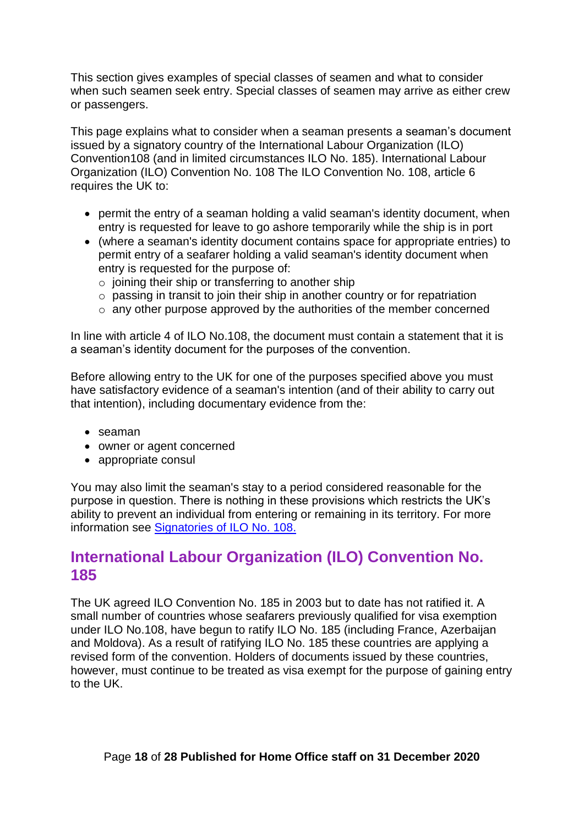This section gives examples of special classes of seamen and what to consider when such seamen seek entry. Special classes of seamen may arrive as either crew or passengers.

This page explains what to consider when a seaman presents a seaman's document issued by a signatory country of the International Labour Organization (ILO) Convention108 (and in limited circumstances ILO No. 185). International Labour Organization (ILO) Convention No. 108 The ILO Convention No. 108, article 6 requires the UK to:

- permit the entry of a seaman holding a valid seaman's identity document, when entry is requested for leave to go ashore temporarily while the ship is in port
- (where a seaman's identity document contains space for appropriate entries) to permit entry of a seafarer holding a valid seaman's identity document when entry is requested for the purpose of:
	- $\circ$  joining their ship or transferring to another ship
	- o passing in transit to join their ship in another country or for repatriation
	- $\circ$  any other purpose approved by the authorities of the member concerned

In line with article 4 of ILO No.108, the document must contain a statement that it is a seaman's identity document for the purposes of the convention.

Before allowing entry to the UK for one of the purposes specified above you must have satisfactory evidence of a seaman's intention (and of their ability to carry out that intention), including documentary evidence from the:

- seaman
- owner or agent concerned
- appropriate consul

You may also limit the seaman's stay to a period considered reasonable for the purpose in question. There is nothing in these provisions which restricts the UK's ability to prevent an individual from entering or remaining in its territory. For more information see [Signatories of ILO No. 108.](https://www.ilo.org/dyn/normlex/en/f?p=NORMLEXPUB:11300:0::NO::P11300_INSTRUMENT_ID:312253)

#### <span id="page-17-0"></span>**International Labour Organization (ILO) Convention No. 185**

The UK agreed ILO Convention No. 185 in 2003 but to date has not ratified it. A small number of countries whose seafarers previously qualified for visa exemption under ILO No.108, have begun to ratify ILO No. 185 (including France, Azerbaijan and Moldova). As a result of ratifying ILO No. 185 these countries are applying a revised form of the convention. Holders of documents issued by these countries, however, must continue to be treated as visa exempt for the purpose of gaining entry to the UK.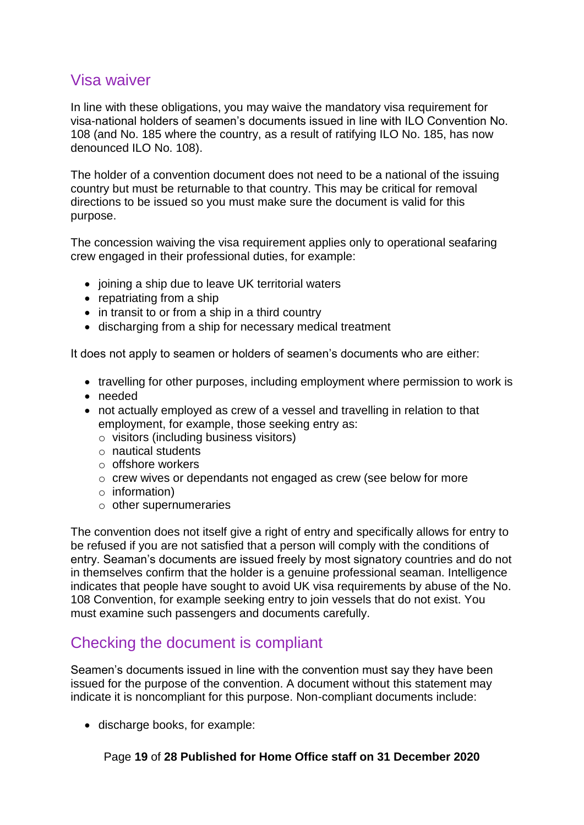#### <span id="page-18-0"></span>Visa waiver

In line with these obligations, you may waive the mandatory visa requirement for visa-national holders of seamen's documents issued in line with ILO Convention No. 108 (and No. 185 where the country, as a result of ratifying ILO No. 185, has now denounced ILO No. 108).

The holder of a convention document does not need to be a national of the issuing country but must be returnable to that country. This may be critical for removal directions to be issued so you must make sure the document is valid for this purpose.

The concession waiving the visa requirement applies only to operational seafaring crew engaged in their professional duties, for example:

- joining a ship due to leave UK territorial waters
- repatriating from a ship
- in transit to or from a ship in a third country
- discharging from a ship for necessary medical treatment

It does not apply to seamen or holders of seamen's documents who are either:

- travelling for other purposes, including employment where permission to work is
- needed
- not actually employed as crew of a vessel and travelling in relation to that employment, for example, those seeking entry as:
	- o visitors (including business visitors)
	- o nautical students
	- o offshore workers
	- o crew wives or dependants not engaged as crew (see below for more
	- o information)
	- o other supernumeraries

The convention does not itself give a right of entry and specifically allows for entry to be refused if you are not satisfied that a person will comply with the conditions of entry. Seaman's documents are issued freely by most signatory countries and do not in themselves confirm that the holder is a genuine professional seaman. Intelligence indicates that people have sought to avoid UK visa requirements by abuse of the No. 108 Convention, for example seeking entry to join vessels that do not exist. You must examine such passengers and documents carefully.

## <span id="page-18-1"></span>Checking the document is compliant

Seamen's documents issued in line with the convention must say they have been issued for the purpose of the convention. A document without this statement may indicate it is noncompliant for this purpose. Non-compliant documents include:

• discharge books, for example: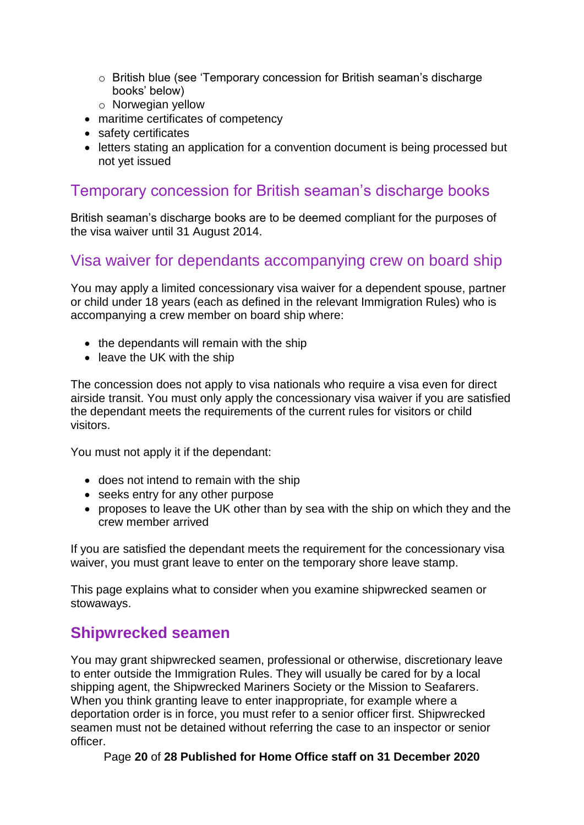- o British blue (see 'Temporary concession for British seaman's discharge books' below)
- o Norwegian yellow
- maritime certificates of competency
- safety certificates
- letters stating an application for a convention document is being processed but not yet issued

#### <span id="page-19-0"></span>Temporary concession for British seaman's discharge books

British seaman's discharge books are to be deemed compliant for the purposes of the visa waiver until 31 August 2014.

#### <span id="page-19-1"></span>Visa waiver for dependants accompanying crew on board ship

You may apply a limited concessionary visa waiver for a dependent spouse, partner or child under 18 years (each as defined in the relevant Immigration Rules) who is accompanying a crew member on board ship where:

- the dependants will remain with the ship
- leave the UK with the ship

The concession does not apply to visa nationals who require a visa even for direct airside transit. You must only apply the concessionary visa waiver if you are satisfied the dependant meets the requirements of the current rules for visitors or child visitors.

You must not apply it if the dependant:

- does not intend to remain with the ship
- seeks entry for any other purpose
- proposes to leave the UK other than by sea with the ship on which they and the crew member arrived

If you are satisfied the dependant meets the requirement for the concessionary visa waiver, you must grant leave to enter on the temporary shore leave stamp.

This page explains what to consider when you examine shipwrecked seamen or stowaways.

#### <span id="page-19-2"></span>**Shipwrecked seamen**

You may grant shipwrecked seamen, professional or otherwise, discretionary leave to enter outside the Immigration Rules. They will usually be cared for by a local shipping agent, the Shipwrecked Mariners Society or the Mission to Seafarers. When you think granting leave to enter inappropriate, for example where a deportation order is in force, you must refer to a senior officer first. Shipwrecked seamen must not be detained without referring the case to an inspector or senior officer.

Page **20** of **28 Published for Home Office staff on 31 December 2020**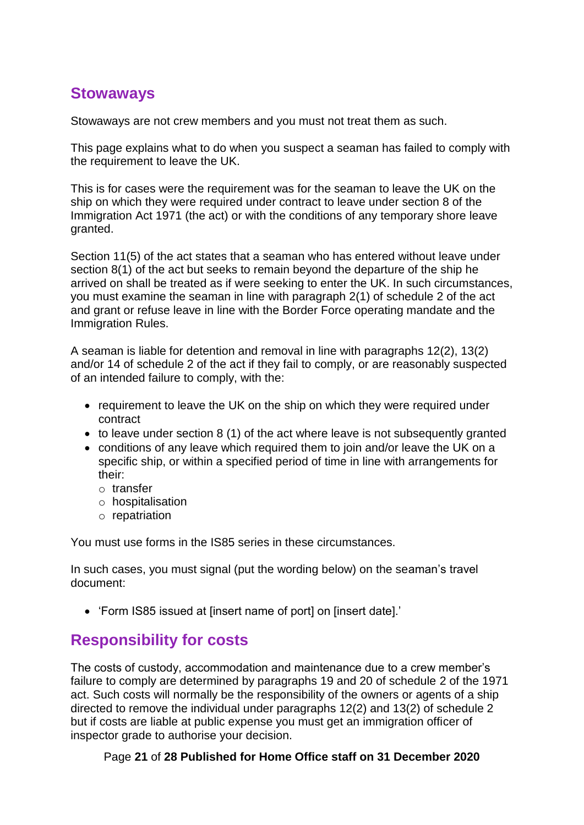#### <span id="page-20-0"></span>**Stowaways**

Stowaways are not crew members and you must not treat them as such.

This page explains what to do when you suspect a seaman has failed to comply with the requirement to leave the UK.

This is for cases were the requirement was for the seaman to leave the UK on the ship on which they were required under contract to leave under section 8 of the Immigration Act 1971 (the act) or with the conditions of any temporary shore leave granted.

Section 11(5) of the act states that a seaman who has entered without leave under section 8(1) of the act but seeks to remain beyond the departure of the ship he arrived on shall be treated as if were seeking to enter the UK. In such circumstances, you must examine the seaman in line with paragraph 2(1) of schedule 2 of the act and grant or refuse leave in line with the Border Force operating mandate and the Immigration Rules.

A seaman is liable for detention and removal in line with paragraphs 12(2), 13(2) and/or 14 of schedule 2 of the act if they fail to comply, or are reasonably suspected of an intended failure to comply, with the:

- requirement to leave the UK on the ship on which they were required under contract
- to leave under section 8 (1) of the act where leave is not subsequently granted
- conditions of any leave which required them to join and/or leave the UK on a specific ship, or within a specified period of time in line with arrangements for their:
	- o transfer
	- o hospitalisation
	- o repatriation

You must use forms in the IS85 series in these circumstances.

In such cases, you must signal (put the wording below) on the seaman's travel document:

• 'Form IS85 issued at [insert name of port] on [insert date].'

#### <span id="page-20-1"></span>**Responsibility for costs**

The costs of custody, accommodation and maintenance due to a crew member's failure to comply are determined by paragraphs 19 and 20 of schedule 2 of the 1971 act. Such costs will normally be the responsibility of the owners or agents of a ship directed to remove the individual under paragraphs 12(2) and 13(2) of schedule 2 but if costs are liable at public expense you must get an immigration officer of inspector grade to authorise your decision.

Page **21** of **28 Published for Home Office staff on 31 December 2020**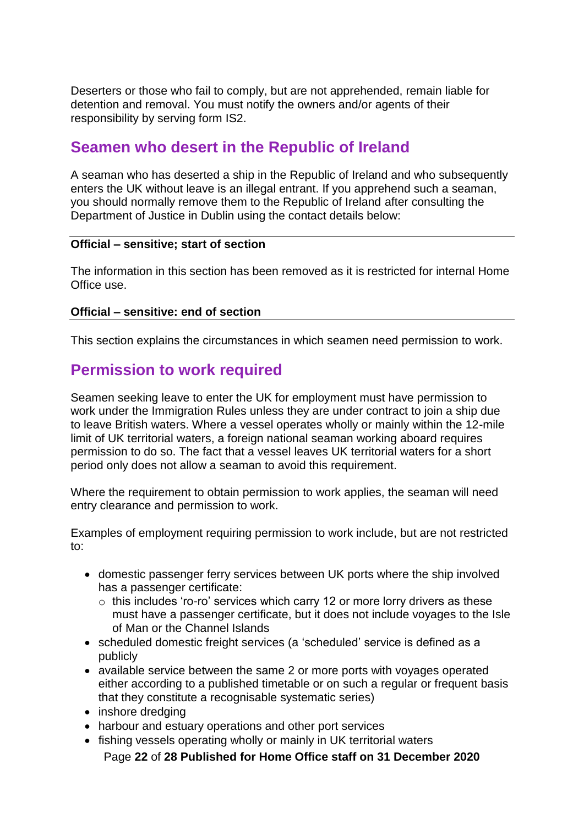Deserters or those who fail to comply, but are not apprehended, remain liable for detention and removal. You must notify the owners and/or agents of their responsibility by serving form IS2.

# <span id="page-21-0"></span>**Seamen who desert in the Republic of Ireland**

A seaman who has deserted a ship in the Republic of Ireland and who subsequently enters the UK without leave is an illegal entrant. If you apprehend such a seaman, you should normally remove them to the Republic of Ireland after consulting the Department of Justice in Dublin using the contact details below:

#### **Official – sensitive; start of section**

The information in this section has been removed as it is restricted for internal Home Office use.

#### **Official – sensitive: end of section**

This section explains the circumstances in which seamen need permission to work.

#### <span id="page-21-1"></span>**Permission to work required**

Seamen seeking leave to enter the UK for employment must have permission to work under the Immigration Rules unless they are under contract to join a ship due to leave British waters. Where a vessel operates wholly or mainly within the 12-mile limit of UK territorial waters, a foreign national seaman working aboard requires permission to do so. The fact that a vessel leaves UK territorial waters for a short period only does not allow a seaman to avoid this requirement.

Where the requirement to obtain permission to work applies, the seaman will need entry clearance and permission to work.

Examples of employment requiring permission to work include, but are not restricted to:

- domestic passenger ferry services between UK ports where the ship involved has a passenger certificate:
	- o this includes 'ro-ro' services which carry 12 or more lorry drivers as these must have a passenger certificate, but it does not include voyages to the Isle of Man or the Channel Islands
- scheduled domestic freight services (a 'scheduled' service is defined as a publicly
- available service between the same 2 or more ports with voyages operated either according to a published timetable or on such a regular or frequent basis that they constitute a recognisable systematic series)
- inshore dredging
- harbour and estuary operations and other port services
- fishing vessels operating wholly or mainly in UK territorial waters

Page **22** of **28 Published for Home Office staff on 31 December 2020**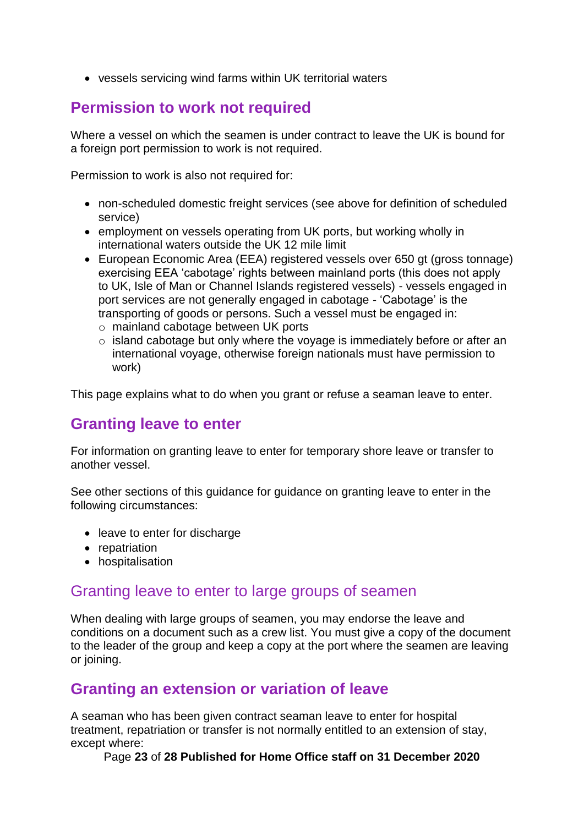• vessels servicing wind farms within UK territorial waters

# <span id="page-22-0"></span>**Permission to work not required**

Where a vessel on which the seamen is under contract to leave the UK is bound for a foreign port permission to work is not required.

Permission to work is also not required for:

- non-scheduled domestic freight services (see above for definition of scheduled service)
- employment on vessels operating from UK ports, but working wholly in international waters outside the UK 12 mile limit
- European Economic Area (EEA) registered vessels over 650 gt (gross tonnage) exercising EEA 'cabotage' rights between mainland ports (this does not apply to UK, Isle of Man or Channel Islands registered vessels) - vessels engaged in port services are not generally engaged in cabotage - 'Cabotage' is the transporting of goods or persons. Such a vessel must be engaged in:
	- o mainland cabotage between UK ports
	- o island cabotage but only where the voyage is immediately before or after an international voyage, otherwise foreign nationals must have permission to work)

This page explains what to do when you grant or refuse a seaman leave to enter.

## <span id="page-22-1"></span>**Granting leave to enter**

For information on granting leave to enter for temporary shore leave or transfer to another vessel.

See other sections of this guidance for guidance on granting leave to enter in the following circumstances:

- leave to enter for discharge
- repatriation
- hospitalisation

#### <span id="page-22-2"></span>Granting leave to enter to large groups of seamen

When dealing with large groups of seamen, you may endorse the leave and conditions on a document such as a crew list. You must give a copy of the document to the leader of the group and keep a copy at the port where the seamen are leaving or joining.

#### <span id="page-22-3"></span>**Granting an extension or variation of leave**

A seaman who has been given contract seaman leave to enter for hospital treatment, repatriation or transfer is not normally entitled to an extension of stay, except where:

Page **23** of **28 Published for Home Office staff on 31 December 2020**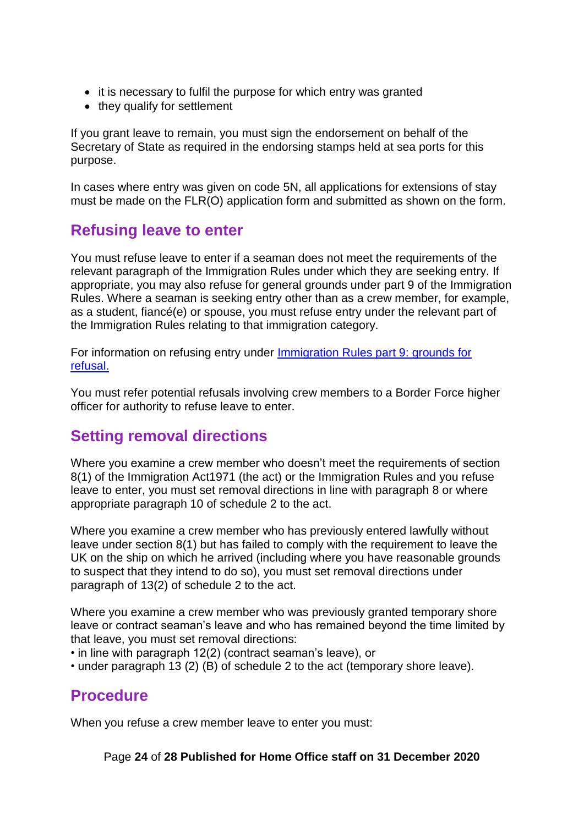- it is necessary to fulfil the purpose for which entry was granted
- they qualify for settlement

If you grant leave to remain, you must sign the endorsement on behalf of the Secretary of State as required in the endorsing stamps held at sea ports for this purpose.

In cases where entry was given on code 5N, all applications for extensions of stay must be made on the FLR(O) application form and submitted as shown on the form.

#### <span id="page-23-0"></span>**Refusing leave to enter**

You must refuse leave to enter if a seaman does not meet the requirements of the relevant paragraph of the Immigration Rules under which they are seeking entry. If appropriate, you may also refuse for general grounds under part 9 of the Immigration Rules. Where a seaman is seeking entry other than as a crew member, for example, as a student, fiancé(e) or spouse, you must refuse entry under the relevant part of the Immigration Rules relating to that immigration category.

For information on refusing entry under [Immigration Rules part 9: grounds for](http://www.ukba.homeoffice.gov.uk/policyandlaw/immigrationlaw/immigrationrules/part9)  [refusal.](http://www.ukba.homeoffice.gov.uk/policyandlaw/immigrationlaw/immigrationrules/part9)

You must refer potential refusals involving crew members to a Border Force higher officer for authority to refuse leave to enter.

## <span id="page-23-1"></span>**Setting removal directions**

Where you examine a crew member who doesn't meet the requirements of section 8(1) of the Immigration Act1971 (the act) or the Immigration Rules and you refuse leave to enter, you must set removal directions in line with paragraph 8 or where appropriate paragraph 10 of schedule 2 to the act.

Where you examine a crew member who has previously entered lawfully without leave under section 8(1) but has failed to comply with the requirement to leave the UK on the ship on which he arrived (including where you have reasonable grounds to suspect that they intend to do so), you must set removal directions under paragraph of 13(2) of schedule 2 to the act.

Where you examine a crew member who was previously granted temporary shore leave or contract seaman's leave and who has remained beyond the time limited by that leave, you must set removal directions:

• in line with paragraph 12(2) (contract seaman's leave), or

• under paragraph 13 (2) (B) of schedule 2 to the act (temporary shore leave).

## <span id="page-23-2"></span>**Procedure**

When you refuse a crew member leave to enter you must:

Page **24** of **28 Published for Home Office staff on 31 December 2020**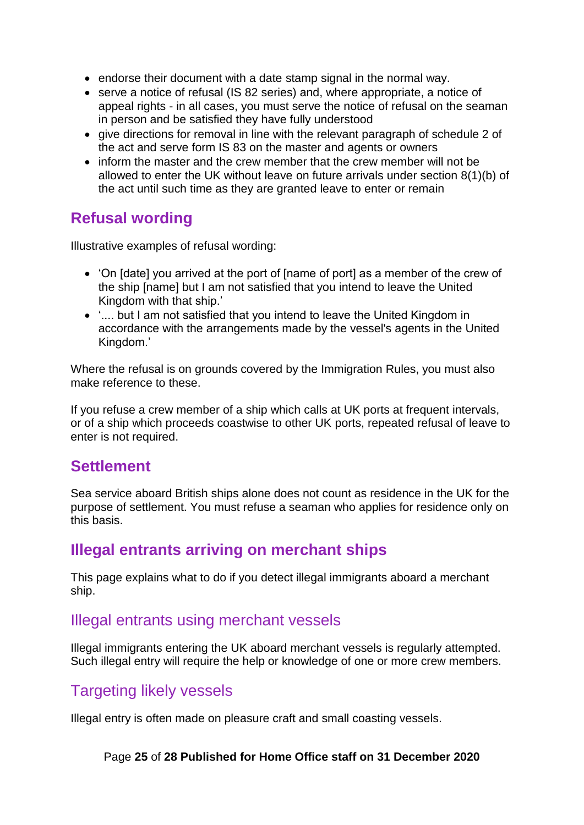- endorse their document with a date stamp signal in the normal way.
- serve a notice of refusal (IS 82 series) and, where appropriate, a notice of appeal rights - in all cases, you must serve the notice of refusal on the seaman in person and be satisfied they have fully understood
- give directions for removal in line with the relevant paragraph of schedule 2 of the act and serve form IS 83 on the master and agents or owners
- inform the master and the crew member that the crew member will not be allowed to enter the UK without leave on future arrivals under section 8(1)(b) of the act until such time as they are granted leave to enter or remain

## <span id="page-24-0"></span>**Refusal wording**

Illustrative examples of refusal wording:

- 'On [date] you arrived at the port of [name of port] as a member of the crew of the ship [name] but I am not satisfied that you intend to leave the United Kingdom with that ship.'
- '.... but I am not satisfied that you intend to leave the United Kingdom in accordance with the arrangements made by the vessel's agents in the United Kingdom.'

Where the refusal is on grounds covered by the Immigration Rules, you must also make reference to these.

If you refuse a crew member of a ship which calls at UK ports at frequent intervals, or of a ship which proceeds coastwise to other UK ports, repeated refusal of leave to enter is not required.

#### <span id="page-24-1"></span>**Settlement**

Sea service aboard British ships alone does not count as residence in the UK for the purpose of settlement. You must refuse a seaman who applies for residence only on this basis.

#### <span id="page-24-2"></span>**Illegal entrants arriving on merchant ships**

This page explains what to do if you detect illegal immigrants aboard a merchant ship.

#### <span id="page-24-3"></span>Illegal entrants using merchant vessels

Illegal immigrants entering the UK aboard merchant vessels is regularly attempted. Such illegal entry will require the help or knowledge of one or more crew members.

# <span id="page-24-4"></span>**Targeting likely vessels**

Illegal entry is often made on pleasure craft and small coasting vessels.

#### Page **25** of **28 Published for Home Office staff on 31 December 2020**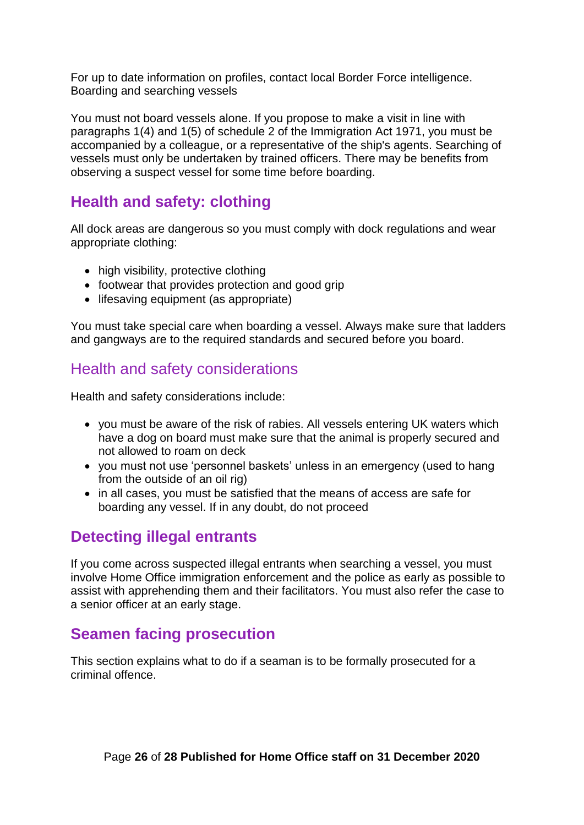For up to date information on profiles, contact local Border Force intelligence. Boarding and searching vessels

You must not board vessels alone. If you propose to make a visit in line with paragraphs 1(4) and 1(5) of schedule 2 of the Immigration Act 1971, you must be accompanied by a colleague, or a representative of the ship's agents. Searching of vessels must only be undertaken by trained officers. There may be benefits from observing a suspect vessel for some time before boarding.

# <span id="page-25-0"></span>**Health and safety: clothing**

All dock areas are dangerous so you must comply with dock regulations and wear appropriate clothing:

- high visibility, protective clothing
- footwear that provides protection and good grip
- lifesaving equipment (as appropriate)

You must take special care when boarding a vessel. Always make sure that ladders and gangways are to the required standards and secured before you board.

# <span id="page-25-1"></span>Health and safety considerations

Health and safety considerations include:

- you must be aware of the risk of rabies. All vessels entering UK waters which have a dog on board must make sure that the animal is properly secured and not allowed to roam on deck
- you must not use 'personnel baskets' unless in an emergency (used to hang from the outside of an oil rig)
- in all cases, you must be satisfied that the means of access are safe for boarding any vessel. If in any doubt, do not proceed

# <span id="page-25-2"></span>**Detecting illegal entrants**

If you come across suspected illegal entrants when searching a vessel, you must involve Home Office immigration enforcement and the police as early as possible to assist with apprehending them and their facilitators. You must also refer the case to a senior officer at an early stage.

## <span id="page-25-3"></span>**Seamen facing prosecution**

This section explains what to do if a seaman is to be formally prosecuted for a criminal offence.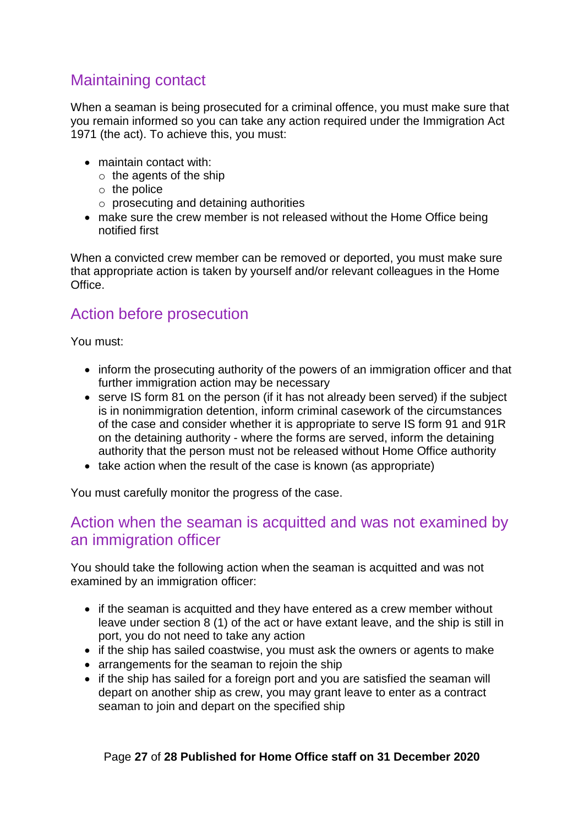# <span id="page-26-0"></span>Maintaining contact

When a seaman is being prosecuted for a criminal offence, you must make sure that you remain informed so you can take any action required under the Immigration Act 1971 (the act). To achieve this, you must:

- maintain contact with:
	- $\circ$  the agents of the ship
	- $\circ$  the police
	- o prosecuting and detaining authorities
- make sure the crew member is not released without the Home Office being notified first

When a convicted crew member can be removed or deported, you must make sure that appropriate action is taken by yourself and/or relevant colleagues in the Home Office.

## <span id="page-26-1"></span>Action before prosecution

You must:

- inform the prosecuting authority of the powers of an immigration officer and that further immigration action may be necessary
- serve IS form 81 on the person (if it has not already been served) if the subject is in nonimmigration detention, inform criminal casework of the circumstances of the case and consider whether it is appropriate to serve IS form 91 and 91R on the detaining authority - where the forms are served, inform the detaining authority that the person must not be released without Home Office authority
- take action when the result of the case is known (as appropriate)

You must carefully monitor the progress of the case.

## <span id="page-26-2"></span>Action when the seaman is acquitted and was not examined by an immigration officer

You should take the following action when the seaman is acquitted and was not examined by an immigration officer:

- if the seaman is acquitted and they have entered as a crew member without leave under section 8 (1) of the act or have extant leave, and the ship is still in port, you do not need to take any action
- if the ship has sailed coastwise, you must ask the owners or agents to make
- arrangements for the seaman to rejoin the ship
- if the ship has sailed for a foreign port and you are satisfied the seaman will depart on another ship as crew, you may grant leave to enter as a contract seaman to join and depart on the specified ship